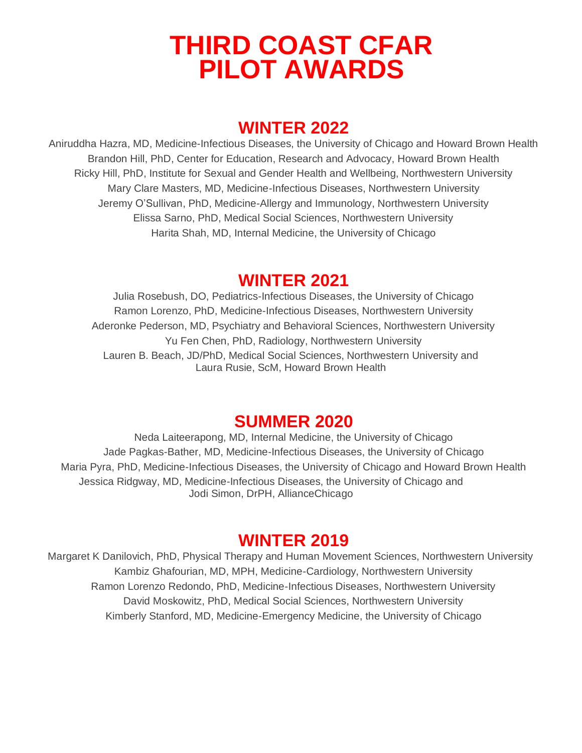# **THIRD COAST CFAR PILOT AWARDS**

# **WINTER 2022**

Aniruddha Hazra, MD, Medicine-Infectious Diseases, the University of Chicago and Howard Brown Health Brandon Hill, PhD, Center for Education, Research and Advocacy, Howard Brown Health Ricky Hill, PhD, Institute for Sexual and Gender Health and Wellbeing, Northwestern University Mary Clare Masters, MD, Medicine-Infectious Diseases, Northwestern University Jeremy O'Sullivan, PhD, Medicine-Allergy and Immunology, Northwestern University Elissa Sarno, PhD, Medical Social Sciences, Northwestern University Harita Shah, MD, Internal Medicine, the University of Chicago

# **WINTER 2021**

Julia Rosebush, DO, Pediatrics-Infectious Diseases, the University of Chicago Ramon Lorenzo, PhD, Medicine-Infectious Diseases, Northwestern University Aderonke Pederson, MD, Psychiatry and Behavioral Sciences, Northwestern University Yu Fen Chen, PhD, Radiology, Northwestern University Lauren B. Beach, JD/PhD, Medical Social Sciences, Northwestern University and Laura Rusie, ScM, Howard Brown Health

# **SUMMER 2020**

Neda Laiteerapong, MD, Internal Medicine, the University of Chicago Jade Pagkas-Bather, MD, Medicine-Infectious Diseases, the University of Chicago Maria Pyra, PhD, Medicine-Infectious Diseases, the University of Chicago and Howard Brown Health Jessica Ridgway, MD, Medicine-Infectious Diseases, the University of Chicago and Jodi Simon, DrPH, AllianceChicago

# **WINTER 2019**

Margaret K Danilovich, PhD, Physical Therapy and Human Movement Sciences, Northwestern University Kambiz Ghafourian, MD, MPH, Medicine-Cardiology, Northwestern University Ramon Lorenzo Redondo, PhD, Medicine-Infectious Diseases, Northwestern University David Moskowitz, PhD, Medical Social Sciences, Northwestern University Kimberly Stanford, MD, Medicine-Emergency Medicine, the University of Chicago